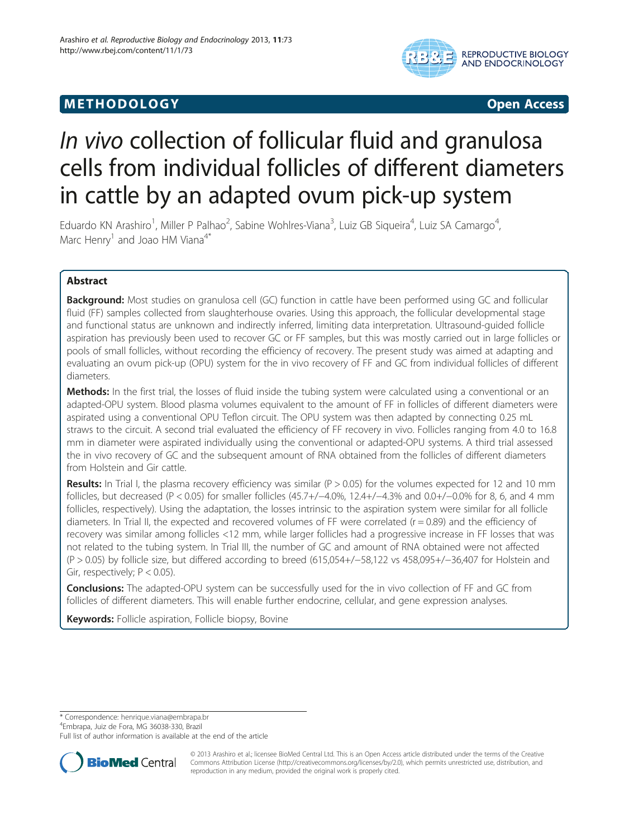# **METHODOLOGY** CONTROLLER CONTROLLER CONTROLLER CONTROLLER CONTROLLER CONTROLLER CONTROLLER CONTROLLER CONTROLLER CONTROLLER CONTROLLER CONTROLLER CONTROLLER CONTROLLER CONTROLLER CONTROLLER CONTROLLER CONTROLLER CONTROLLER



# In vivo collection of follicular fluid and granulosa cells from individual follicles of different diameters in cattle by an adapted ovum pick-up system

Eduardo KN Arashiro<sup>1</sup>, Miller P Palhao<sup>2</sup>, Sabine Wohlres-Viana<sup>3</sup>, Luiz GB Siqueira<sup>4</sup>, Luiz SA Camargo<sup>4</sup> , Marc Henry<sup>1</sup> and Joao HM Viana<sup>4\*</sup>

# Abstract

Background: Most studies on granulosa cell (GC) function in cattle have been performed using GC and follicular fluid (FF) samples collected from slaughterhouse ovaries. Using this approach, the follicular developmental stage and functional status are unknown and indirectly inferred, limiting data interpretation. Ultrasound-guided follicle aspiration has previously been used to recover GC or FF samples, but this was mostly carried out in large follicles or pools of small follicles, without recording the efficiency of recovery. The present study was aimed at adapting and evaluating an ovum pick-up (OPU) system for the in vivo recovery of FF and GC from individual follicles of different diameters.

Methods: In the first trial, the losses of fluid inside the tubing system were calculated using a conventional or an adapted-OPU system. Blood plasma volumes equivalent to the amount of FF in follicles of different diameters were aspirated using a conventional OPU Teflon circuit. The OPU system was then adapted by connecting 0.25 mL straws to the circuit. A second trial evaluated the efficiency of FF recovery in vivo. Follicles ranging from 4.0 to 16.8 mm in diameter were aspirated individually using the conventional or adapted-OPU systems. A third trial assessed the in vivo recovery of GC and the subsequent amount of RNA obtained from the follicles of different diameters from Holstein and Gir cattle.

Results: In Trial I, the plasma recovery efficiency was similar ( $P > 0.05$ ) for the volumes expected for 12 and 10 mm follicles, but decreased (P < 0.05) for smaller follicles (45.7+/−4.0%, 12.4+/−4.3% and 0.0+/−0.0% for 8, 6, and 4 mm follicles, respectively). Using the adaptation, the losses intrinsic to the aspiration system were similar for all follicle diameters. In Trial II, the expected and recovered volumes of FF were correlated ( $r = 0.89$ ) and the efficiency of recovery was similar among follicles <12 mm, while larger follicles had a progressive increase in FF losses that was not related to the tubing system. In Trial III, the number of GC and amount of RNA obtained were not affected (P > 0.05) by follicle size, but differed according to breed (615,054+/−58,122 vs 458,095+/−36,407 for Holstein and Gir, respectively;  $P < 0.05$ ).

**Conclusions:** The adapted-OPU system can be successfully used for the in vivo collection of FF and GC from follicles of different diameters. This will enable further endocrine, cellular, and gene expression analyses.

Keywords: Follicle aspiration, Follicle biopsy, Bovine

\* Correspondence: [henrique.viana@embrapa.br](mailto:henrique.viana@embrapa.br) <sup>4</sup>

<sup>4</sup>Embrapa, Juiz de Fora, MG 36038-330, Brazil

Full list of author information is available at the end of the article



© 2013 Arashiro et al.; licensee BioMed Central Ltd. This is an Open Access article distributed under the terms of the Creative Commons Attribution License [\(http://creativecommons.org/licenses/by/2.0\)](http://creativecommons.org/licenses/by/2.0), which permits unrestricted use, distribution, and reproduction in any medium, provided the original work is properly cited.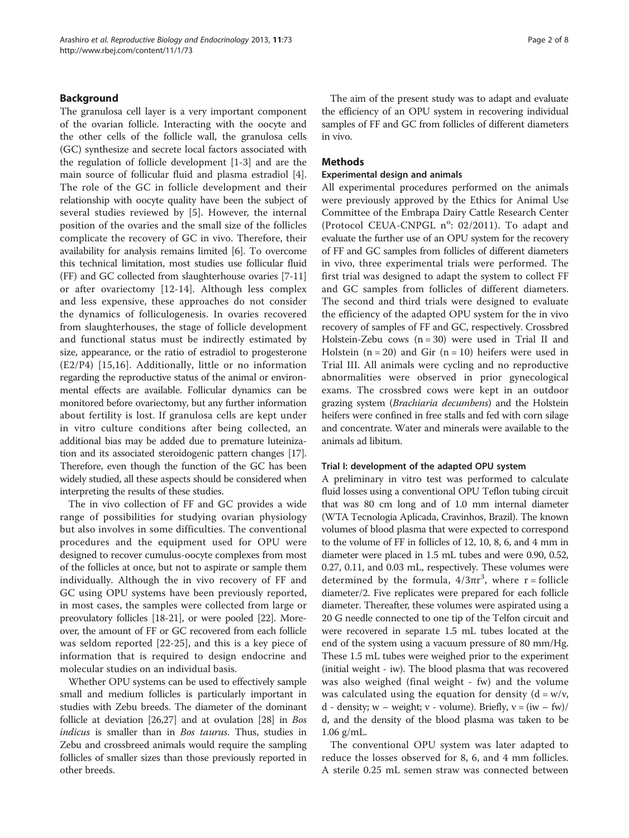#### Background

The granulosa cell layer is a very important component of the ovarian follicle. Interacting with the oocyte and the other cells of the follicle wall, the granulosa cells (GC) synthesize and secrete local factors associated with the regulation of follicle development [[1-3\]](#page-6-0) and are the main source of follicular fluid and plasma estradiol [\[4](#page-6-0)]. The role of the GC in follicle development and their relationship with oocyte quality have been the subject of several studies reviewed by [[5](#page-6-0)]. However, the internal position of the ovaries and the small size of the follicles complicate the recovery of GC in vivo. Therefore, their availability for analysis remains limited [\[6](#page-6-0)]. To overcome this technical limitation, most studies use follicular fluid (FF) and GC collected from slaughterhouse ovaries [\[7](#page-6-0)-[11](#page-6-0)] or after ovariectomy [[12-14](#page-6-0)]. Although less complex and less expensive, these approaches do not consider the dynamics of folliculogenesis. In ovaries recovered from slaughterhouses, the stage of follicle development and functional status must be indirectly estimated by size, appearance, or the ratio of estradiol to progesterone (E2/P4) [\[15,16](#page-6-0)]. Additionally, little or no information regarding the reproductive status of the animal or environmental effects are available. Follicular dynamics can be monitored before ovariectomy, but any further information about fertility is lost. If granulosa cells are kept under in vitro culture conditions after being collected, an additional bias may be added due to premature luteinization and its associated steroidogenic pattern changes [[17](#page-6-0)]. Therefore, even though the function of the GC has been widely studied, all these aspects should be considered when interpreting the results of these studies.

The in vivo collection of FF and GC provides a wide range of possibilities for studying ovarian physiology but also involves in some difficulties. The conventional procedures and the equipment used for OPU were designed to recover cumulus-oocyte complexes from most of the follicles at once, but not to aspirate or sample them individually. Although the in vivo recovery of FF and GC using OPU systems have been previously reported, in most cases, the samples were collected from large or preovulatory follicles [[18](#page-6-0)-[21](#page-7-0)], or were pooled [[22](#page-7-0)]. Moreover, the amount of FF or GC recovered from each follicle was seldom reported [\[22](#page-7-0)-[25](#page-7-0)], and this is a key piece of information that is required to design endocrine and molecular studies on an individual basis.

Whether OPU systems can be used to effectively sample small and medium follicles is particularly important in studies with Zebu breeds. The diameter of the dominant follicle at deviation [\[26,27](#page-7-0)] and at ovulation [[28](#page-7-0)] in Bos indicus is smaller than in Bos taurus. Thus, studies in Zebu and crossbreed animals would require the sampling follicles of smaller sizes than those previously reported in other breeds.

The aim of the present study was to adapt and evaluate the efficiency of an OPU system in recovering individual samples of FF and GC from follicles of different diameters in vivo.

### Methods

#### Experimental design and animals

All experimental procedures performed on the animals were previously approved by the Ethics for Animal Use Committee of the Embrapa Dairy Cattle Research Center (Protocol CEUA-CNPGL n°: 02/2011). To adapt and evaluate the further use of an OPU system for the recovery of FF and GC samples from follicles of different diameters in vivo, three experimental trials were performed. The first trial was designed to adapt the system to collect FF and GC samples from follicles of different diameters. The second and third trials were designed to evaluate the efficiency of the adapted OPU system for the in vivo recovery of samples of FF and GC, respectively. Crossbred Holstein-Zebu cows  $(n = 30)$  were used in Trial II and Holstein  $(n = 20)$  and Gir  $(n = 10)$  heifers were used in Trial III. All animals were cycling and no reproductive abnormalities were observed in prior gynecological exams. The crossbred cows were kept in an outdoor grazing system (Brachiaria decumbens) and the Holstein heifers were confined in free stalls and fed with corn silage and concentrate. Water and minerals were available to the animals ad libitum.

#### Trial I: development of the adapted OPU system

A preliminary in vitro test was performed to calculate fluid losses using a conventional OPU Teflon tubing circuit that was 80 cm long and of 1.0 mm internal diameter (WTA Tecnologia Aplicada, Cravinhos, Brazil). The known volumes of blood plasma that were expected to correspond to the volume of FF in follicles of 12, 10, 8, 6, and 4 mm in diameter were placed in 1.5 mL tubes and were 0.90, 0.52, 0.27, 0.11, and 0.03 mL, respectively. These volumes were determined by the formula,  $4/3\pi r^3$ , where r = follicle diameter/2. Five replicates were prepared for each follicle diameter. Thereafter, these volumes were aspirated using a 20 G needle connected to one tip of the Telfon circuit and were recovered in separate 1.5 mL tubes located at the end of the system using a vacuum pressure of 80 mm/Hg. These 1.5 mL tubes were weighed prior to the experiment (initial weight - iw). The blood plasma that was recovered was also weighed (final weight - fw) and the volume was calculated using the equation for density  $(d = w/v)$ , d - density; w – weight; v - volume). Briefly,  $v = (iw - fw) /$ d, and the density of the blood plasma was taken to be 1.06 g/mL.

The conventional OPU system was later adapted to reduce the losses observed for 8, 6, and 4 mm follicles. A sterile 0.25 mL semen straw was connected between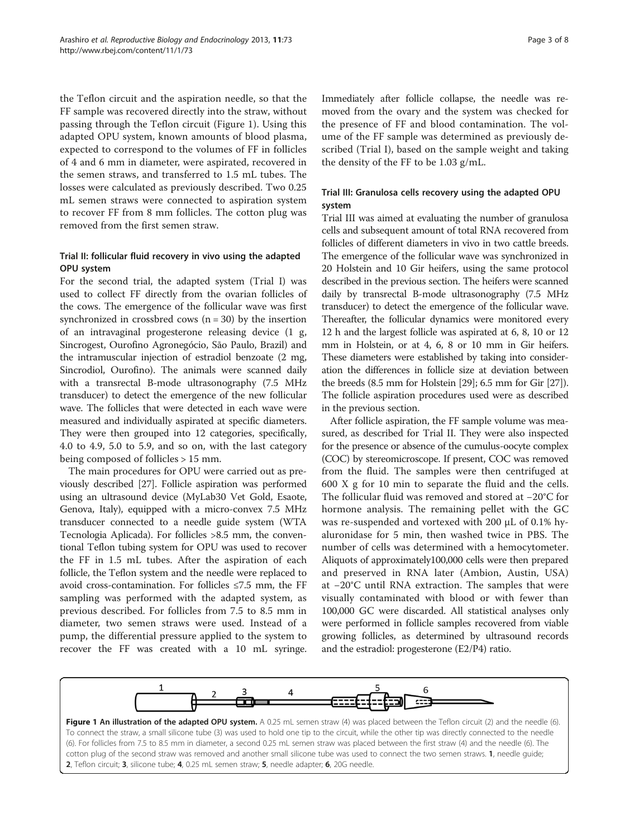<span id="page-2-0"></span>the Teflon circuit and the aspiration needle, so that the FF sample was recovered directly into the straw, without passing through the Teflon circuit (Figure 1). Using this adapted OPU system, known amounts of blood plasma, expected to correspond to the volumes of FF in follicles of 4 and 6 mm in diameter, were aspirated, recovered in the semen straws, and transferred to 1.5 mL tubes. The losses were calculated as previously described. Two 0.25 mL semen straws were connected to aspiration system to recover FF from 8 mm follicles. The cotton plug was removed from the first semen straw.

# Trial II: follicular fluid recovery in vivo using the adapted OPU system

For the second trial, the adapted system (Trial I) was used to collect FF directly from the ovarian follicles of the cows. The emergence of the follicular wave was first synchronized in crossbred cows  $(n = 30)$  by the insertion of an intravaginal progesterone releasing device (1 g, Sincrogest, Ourofino Agronegócio, São Paulo, Brazil) and the intramuscular injection of estradiol benzoate (2 mg, Sincrodiol, Ourofino). The animals were scanned daily with a transrectal B-mode ultrasonography (7.5 MHz transducer) to detect the emergence of the new follicular wave. The follicles that were detected in each wave were measured and individually aspirated at specific diameters. They were then grouped into 12 categories, specifically, 4.0 to 4.9, 5.0 to 5.9, and so on, with the last category being composed of follicles > 15 mm.

The main procedures for OPU were carried out as previously described [[27](#page-7-0)]. Follicle aspiration was performed using an ultrasound device (MyLab30 Vet Gold, Esaote, Genova, Italy), equipped with a micro-convex 7.5 MHz transducer connected to a needle guide system (WTA Tecnologia Aplicada). For follicles >8.5 mm, the conventional Teflon tubing system for OPU was used to recover the FF in 1.5 mL tubes. After the aspiration of each follicle, the Teflon system and the needle were replaced to avoid cross-contamination. For follicles  $\leq 7.5$  mm, the FF sampling was performed with the adapted system, as previous described. For follicles from 7.5 to 8.5 mm in diameter, two semen straws were used. Instead of a pump, the differential pressure applied to the system to recover the FF was created with a 10 mL syringe. Immediately after follicle collapse, the needle was removed from the ovary and the system was checked for the presence of FF and blood contamination. The volume of the FF sample was determined as previously described (Trial I), based on the sample weight and taking the density of the FF to be 1.03 g/mL.

# Trial III: Granulosa cells recovery using the adapted OPU system

Trial III was aimed at evaluating the number of granulosa cells and subsequent amount of total RNA recovered from follicles of different diameters in vivo in two cattle breeds. The emergence of the follicular wave was synchronized in 20 Holstein and 10 Gir heifers, using the same protocol described in the previous section. The heifers were scanned daily by transrectal B-mode ultrasonography (7.5 MHz transducer) to detect the emergence of the follicular wave. Thereafter, the follicular dynamics were monitored every 12 h and the largest follicle was aspirated at 6, 8, 10 or 12 mm in Holstein, or at 4, 6, 8 or 10 mm in Gir heifers. These diameters were established by taking into consideration the differences in follicle size at deviation between the breeds (8.5 mm for Holstein [[29](#page-7-0)]; 6.5 mm for Gir [[27](#page-7-0)]). The follicle aspiration procedures used were as described in the previous section.

After follicle aspiration, the FF sample volume was measured, as described for Trial II. They were also inspected for the presence or absence of the cumulus-oocyte complex (COC) by stereomicroscope. If present, COC was removed from the fluid. The samples were then centrifuged at 600 X g for 10 min to separate the fluid and the cells. The follicular fluid was removed and stored at −20°C for hormone analysis. The remaining pellet with the GC was re-suspended and vortexed with 200 μL of 0.1% hyaluronidase for 5 min, then washed twice in PBS. The number of cells was determined with a hemocytometer. Aliquots of approximately100,000 cells were then prepared and preserved in RNA later (Ambion, Austin, USA) at −20°C until RNA extraction. The samples that were visually contaminated with blood or with fewer than 100,000 GC were discarded. All statistical analyses only were performed in follicle samples recovered from viable growing follicles, as determined by ultrasound records and the estradiol: progesterone (E2/P4) ratio.



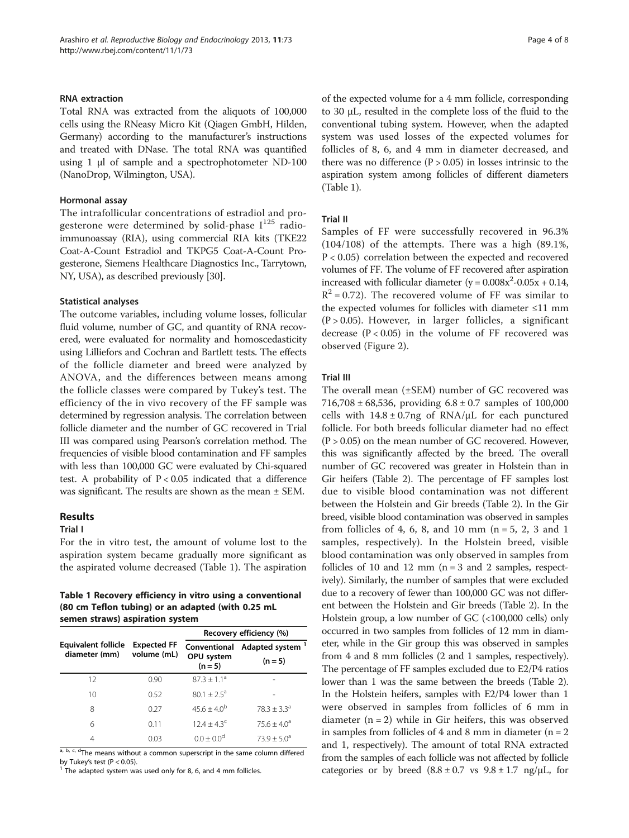#### <span id="page-3-0"></span>RNA extraction

Total RNA was extracted from the aliquots of 100,000 cells using the RNeasy Micro Kit (Qiagen GmbH, Hilden, Germany) according to the manufacturer's instructions and treated with DNase. The total RNA was quantified using 1 μl of sample and a spectrophotometer ND-100 (NanoDrop, Wilmington, USA).

#### Hormonal assay

The intrafollicular concentrations of estradiol and progesterone were determined by solid-phase  $I^{125}$  radioimmunoassay (RIA), using commercial RIA kits (TKE22 Coat-A-Count Estradiol and TKPG5 Coat-A-Count Progesterone, Siemens Healthcare Diagnostics Inc., Tarrytown, NY, USA), as described previously [[30](#page-7-0)].

#### Statistical analyses

The outcome variables, including volume losses, follicular fluid volume, number of GC, and quantity of RNA recovered, were evaluated for normality and homoscedasticity using Lilliefors and Cochran and Bartlett tests. The effects of the follicle diameter and breed were analyzed by ANOVA, and the differences between means among the follicle classes were compared by Tukey's test. The efficiency of the in vivo recovery of the FF sample was determined by regression analysis. The correlation between follicle diameter and the number of GC recovered in Trial III was compared using Pearson's correlation method. The frequencies of visible blood contamination and FF samples with less than 100,000 GC were evaluated by Chi-squared test. A probability of  $P < 0.05$  indicated that a difference was significant. The results are shown as the mean ± SEM.

#### Results

#### Trial I

For the in vitro test, the amount of volume lost to the aspiration system became gradually more significant as the aspirated volume decreased (Table 1). The aspiration

#### Table 1 Recovery efficiency in vitro using a conventional (80 cm Teflon tubing) or an adapted (with 0.25 mL semen straws) aspiration system

|                                      | <b>Expected FF</b><br>volume (mL) | Recovery efficiency (%)                 |                                          |
|--------------------------------------|-----------------------------------|-----------------------------------------|------------------------------------------|
| Equivalent follicle<br>diameter (mm) |                                   | Conventional<br>OPU system<br>$(n = 5)$ | Adapted system <sup>1</sup><br>$(n = 5)$ |
| 12                                   | 0.90                              | $87.3 + 1.1a$                           |                                          |
| 10                                   | 0.52                              | $80.1 + 2.5^{\circ}$                    |                                          |
| 8                                    | 0.27                              | $45.6 + 4.0^{b}$                        | $78.3 + 3.3a$                            |
| 6                                    | 0.11                              | $124 + 43^c$                            | $75.6 + 4.0^{\circ}$                     |
|                                      | 0.03                              | $0.0 \pm 0.0^{\circ}$                   | $73.9 + 5.0^{\circ}$                     |

 $\frac{a}{a}$ , b, c, d<sub>The</sub> means without a common superscript in the same column differed by Tukey's test (P < 0.05).

 $\overline{P}$  The adapted system was used only for 8, 6, and 4 mm follicles.

of the expected volume for a 4 mm follicle, corresponding to 30 μL, resulted in the complete loss of the fluid to the conventional tubing system. However, when the adapted system was used losses of the expected volumes for follicles of 8, 6, and 4 mm in diameter decreased, and there was no difference  $(P > 0.05)$  in losses intrinsic to the aspiration system among follicles of different diameters (Table 1).

#### Trial II

Samples of FF were successfully recovered in 96.3% (104/108) of the attempts. There was a high (89.1%, P < 0.05) correlation between the expected and recovered volumes of FF. The volume of FF recovered after aspiration increased with follicular diameter  $(y = 0.008x^2 - 0.05x + 0.14$ ,  $R^2$  = 0.72). The recovered volume of FF was similar to the expected volumes for follicles with diameter ≤11 mm  $(P > 0.05)$ . However, in larger follicles, a significant decrease  $(P < 0.05)$  in the volume of FF recovered was observed (Figure [2\)](#page-4-0).

#### Trial III

The overall mean (±SEM) number of GC recovered was 716,708 ± 68,536, providing  $6.8 \pm 0.7$  samples of 100,000 cells with  $14.8 \pm 0.7$ ng of RNA/μL for each punctured follicle. For both breeds follicular diameter had no effect  $(P > 0.05)$  on the mean number of GC recovered. However, this was significantly affected by the breed. The overall number of GC recovered was greater in Holstein than in Gir heifers (Table [2\)](#page-4-0). The percentage of FF samples lost due to visible blood contamination was not different between the Holstein and Gir breeds (Table [2\)](#page-4-0). In the Gir breed, visible blood contamination was observed in samples from follicles of 4, 6, 8, and 10 mm  $(n = 5, 2, 3, 3, 1)$ samples, respectively). In the Holstein breed, visible blood contamination was only observed in samples from follicles of 10 and 12 mm  $(n = 3$  and 2 samples, respectively). Similarly, the number of samples that were excluded due to a recovery of fewer than 100,000 GC was not different between the Holstein and Gir breeds (Table [2\)](#page-4-0). In the Holstein group, a low number of GC (<100,000 cells) only occurred in two samples from follicles of 12 mm in diameter, while in the Gir group this was observed in samples from 4 and 8 mm follicles (2 and 1 samples, respectively). The percentage of FF samples excluded due to E2/P4 ratios lower than 1 was the same between the breeds (Table [2](#page-4-0)). In the Holstein heifers, samples with E2/P4 lower than 1 were observed in samples from follicles of 6 mm in diameter  $(n = 2)$  while in Gir heifers, this was observed in samples from follicles of 4 and 8 mm in diameter ( $n = 2$ ) and 1, respectively). The amount of total RNA extracted from the samples of each follicle was not affected by follicle categories or by breed  $(8.8 \pm 0.7 \text{ vs } 9.8 \pm 1.7 \text{ ng/µL},$  for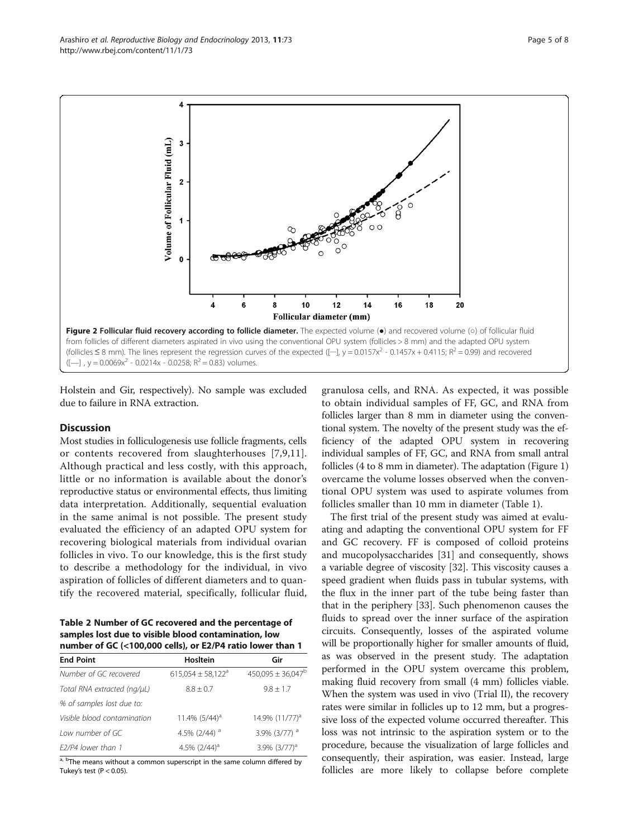Holstein and Gir, respectively). No sample was excluded due to failure in RNA extraction.

#### **Discussion**

Most studies in folliculogenesis use follicle fragments, cells or contents recovered from slaughterhouses [[7,9,11](#page-6-0)]. Although practical and less costly, with this approach, little or no information is available about the donor's reproductive status or environmental effects, thus limiting data interpretation. Additionally, sequential evaluation in the same animal is not possible. The present study evaluated the efficiency of an adapted OPU system for recovering biological materials from individual ovarian follicles in vivo. To our knowledge, this is the first study to describe a methodology for the individual, in vivo aspiration of follicles of different diameters and to quantify the recovered material, specifically, follicular fluid,

Table 2 Number of GC recovered and the percentage of samples lost due to visible blood contamination, low number of GC (<100,000 cells), or E2/P4 ratio lower than 1

| Hosltein                          | Gir                        |  |  |
|-----------------------------------|----------------------------|--|--|
| $615.054 \pm 58.122$ <sup>a</sup> | $450.095 \pm 36.047^b$     |  |  |
| $8.8 + 0.7$                       | $9.8 \pm 1.7$              |  |  |
|                                   |                            |  |  |
| 11.4% (5/44) <sup>a</sup>         | 14.9% (11/77) <sup>a</sup> |  |  |
| 4.5% $(2/44)$ <sup>a</sup>        | 3.9% (3/77) <sup>a</sup>   |  |  |
| 4.5% $(2/44)^a$                   | $3.9\%$ $(3/77)^{a}$       |  |  |
|                                   |                            |  |  |

a, <sup>b</sup>The means without a common superscript in the same column differed by Tukey's test ( $P < 0.05$ ).

granulosa cells, and RNA. As expected, it was possible to obtain individual samples of FF, GC, and RNA from follicles larger than 8 mm in diameter using the conventional system. The novelty of the present study was the efficiency of the adapted OPU system in recovering individual samples of FF, GC, and RNA from small antral follicles (4 to 8 mm in diameter). The adaptation (Figure [1](#page-2-0)) overcame the volume losses observed when the conventional OPU system was used to aspirate volumes from follicles smaller than 10 mm in diameter (Table [1\)](#page-3-0).

The first trial of the present study was aimed at evaluating and adapting the conventional OPU system for FF and GC recovery. FF is composed of colloid proteins and mucopolysaccharides [[31\]](#page-7-0) and consequently, shows a variable degree of viscosity [\[32](#page-7-0)]. This viscosity causes a speed gradient when fluids pass in tubular systems, with the flux in the inner part of the tube being faster than that in the periphery [\[33\]](#page-7-0). Such phenomenon causes the fluids to spread over the inner surface of the aspiration circuits. Consequently, losses of the aspirated volume will be proportionally higher for smaller amounts of fluid, as was observed in the present study. The adaptation performed in the OPU system overcame this problem, making fluid recovery from small (4 mm) follicles viable. When the system was used in vivo (Trial II), the recovery rates were similar in follicles up to 12 mm, but a progressive loss of the expected volume occurred thereafter. This loss was not intrinsic to the aspiration system or to the procedure, because the visualization of large follicles and consequently, their aspiration, was easier. Instead, large follicles are more likely to collapse before complete

<span id="page-4-0"></span>

 $\overline{4}$ 

2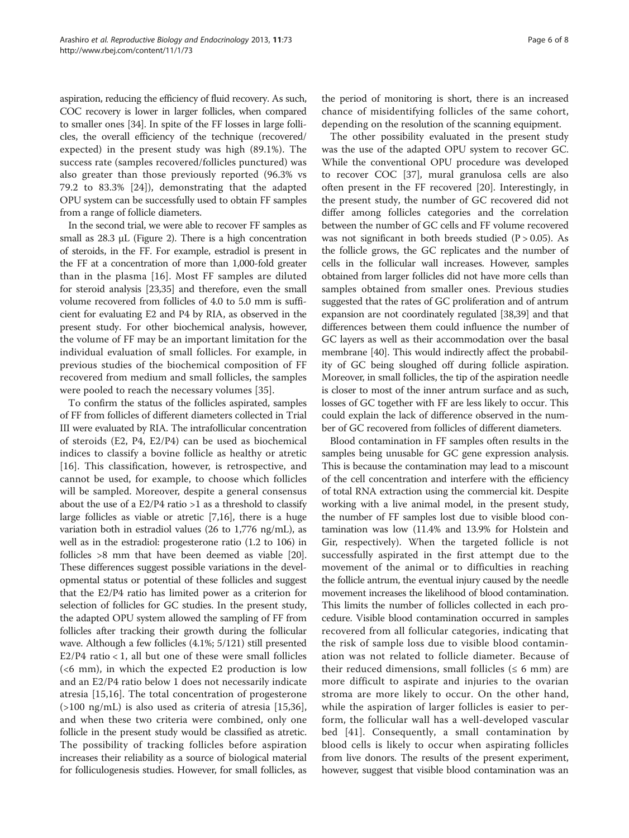aspiration, reducing the efficiency of fluid recovery. As such, COC recovery is lower in larger follicles, when compared to smaller ones [[34](#page-7-0)]. In spite of the FF losses in large follicles, the overall efficiency of the technique (recovered/ expected) in the present study was high (89.1%). The success rate (samples recovered/follicles punctured) was also greater than those previously reported (96.3% vs 79.2 to 83.3% [[24\]](#page-7-0)), demonstrating that the adapted OPU system can be successfully used to obtain FF samples from a range of follicle diameters.

In the second trial, we were able to recover FF samples as small as  $28.3 \mu L$  (Figure [2](#page-4-0)). There is a high concentration of steroids, in the FF. For example, estradiol is present in the FF at a concentration of more than 1,000-fold greater than in the plasma [\[16\]](#page-6-0). Most FF samples are diluted for steroid analysis [\[23,35](#page-7-0)] and therefore, even the small volume recovered from follicles of 4.0 to 5.0 mm is sufficient for evaluating E2 and P4 by RIA, as observed in the present study. For other biochemical analysis, however, the volume of FF may be an important limitation for the individual evaluation of small follicles. For example, in previous studies of the biochemical composition of FF recovered from medium and small follicles, the samples were pooled to reach the necessary volumes [[35\]](#page-7-0).

To confirm the status of the follicles aspirated, samples of FF from follicles of different diameters collected in Trial III were evaluated by RIA. The intrafollicular concentration of steroids (E2, P4, E2/P4) can be used as biochemical indices to classify a bovine follicle as healthy or atretic [[16\]](#page-6-0). This classification, however, is retrospective, and cannot be used, for example, to choose which follicles will be sampled. Moreover, despite a general consensus about the use of a  $E2/P4$  ratio  $>1$  as a threshold to classify large follicles as viable or atretic [[7,16](#page-6-0)], there is a huge variation both in estradiol values (26 to 1,776 ng/mL), as well as in the estradiol: progesterone ratio (1.2 to 106) in follicles >8 mm that have been deemed as viable [[20](#page-7-0)]. These differences suggest possible variations in the developmental status or potential of these follicles and suggest that the E2/P4 ratio has limited power as a criterion for selection of follicles for GC studies. In the present study, the adapted OPU system allowed the sampling of FF from follicles after tracking their growth during the follicular wave. Although a few follicles (4.1%; 5/121) still presented  $E2/P4$  ratio < 1, all but one of these were small follicles (<6 mm), in which the expected E2 production is low and an E2/P4 ratio below 1 does not necessarily indicate atresia [\[15](#page-6-0),[16\]](#page-6-0). The total concentration of progesterone (>100 ng/mL) is also used as criteria of atresia [[15,](#page-6-0)[36](#page-7-0)], and when these two criteria were combined, only one follicle in the present study would be classified as atretic. The possibility of tracking follicles before aspiration increases their reliability as a source of biological material for folliculogenesis studies. However, for small follicles, as

the period of monitoring is short, there is an increased chance of misidentifying follicles of the same cohort, depending on the resolution of the scanning equipment.

The other possibility evaluated in the present study was the use of the adapted OPU system to recover GC. While the conventional OPU procedure was developed to recover COC [[37\]](#page-7-0), mural granulosa cells are also often present in the FF recovered [\[20](#page-7-0)]. Interestingly, in the present study, the number of GC recovered did not differ among follicles categories and the correlation between the number of GC cells and FF volume recovered was not significant in both breeds studied ( $P > 0.05$ ). As the follicle grows, the GC replicates and the number of cells in the follicular wall increases. However, samples obtained from larger follicles did not have more cells than samples obtained from smaller ones. Previous studies suggested that the rates of GC proliferation and of antrum expansion are not coordinately regulated [[38,39](#page-7-0)] and that differences between them could influence the number of GC layers as well as their accommodation over the basal membrane [\[40\]](#page-7-0). This would indirectly affect the probability of GC being sloughed off during follicle aspiration. Moreover, in small follicles, the tip of the aspiration needle is closer to most of the inner antrum surface and as such, losses of GC together with FF are less likely to occur. This could explain the lack of difference observed in the number of GC recovered from follicles of different diameters.

Blood contamination in FF samples often results in the samples being unusable for GC gene expression analysis. This is because the contamination may lead to a miscount of the cell concentration and interfere with the efficiency of total RNA extraction using the commercial kit. Despite working with a live animal model, in the present study, the number of FF samples lost due to visible blood contamination was low (11.4% and 13.9% for Holstein and Gir, respectively). When the targeted follicle is not successfully aspirated in the first attempt due to the movement of the animal or to difficulties in reaching the follicle antrum, the eventual injury caused by the needle movement increases the likelihood of blood contamination. This limits the number of follicles collected in each procedure. Visible blood contamination occurred in samples recovered from all follicular categories, indicating that the risk of sample loss due to visible blood contamination was not related to follicle diameter. Because of their reduced dimensions, small follicles ( $\leq 6$  mm) are more difficult to aspirate and injuries to the ovarian stroma are more likely to occur. On the other hand, while the aspiration of larger follicles is easier to perform, the follicular wall has a well-developed vascular bed [[41](#page-7-0)]. Consequently, a small contamination by blood cells is likely to occur when aspirating follicles from live donors. The results of the present experiment, however, suggest that visible blood contamination was an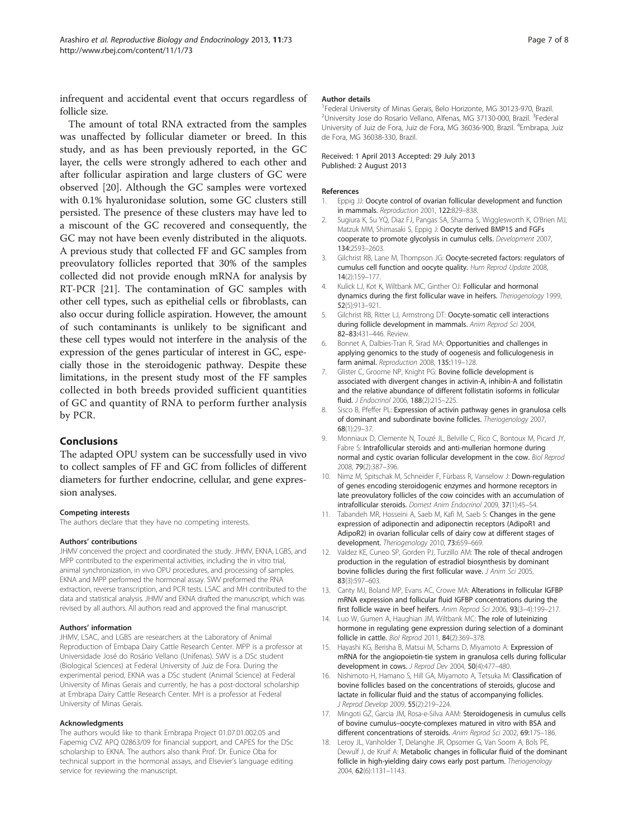<span id="page-6-0"></span>infrequent and accidental event that occurs regardless of follicle size.

The amount of total RNA extracted from the samples was unaffected by follicular diameter or breed. In this study, and as has been previously reported, in the GC layer, the cells were strongly adhered to each other and after follicular aspiration and large clusters of GC were observed [\[20\]](#page-7-0). Although the GC samples were vortexed with 0.1% hyaluronidase solution, some GC clusters still persisted. The presence of these clusters may have led to a miscount of the GC recovered and consequently, the GC may not have been evenly distributed in the aliquots. A previous study that collected FF and GC samples from preovulatory follicles reported that 30% of the samples collected did not provide enough mRNA for analysis by RT-PCR [\[21](#page-7-0)]. The contamination of GC samples with other cell types, such as epithelial cells or fibroblasts, can also occur during follicle aspiration. However, the amount of such contaminants is unlikely to be significant and these cell types would not interfere in the analysis of the expression of the genes particular of interest in GC, especially those in the steroidogenic pathway. Despite these limitations, in the present study most of the FF samples collected in both breeds provided sufficient quantities of GC and quantity of RNA to perform further analysis by PCR.

#### Conclusions

The adapted OPU system can be successfully used in vivo to collect samples of FF and GC from follicles of different diameters for further endocrine, cellular, and gene expression analyses.

#### Competing interests

The authors declare that they have no competing interests.

#### Authors' contributions

JHMV conceived the project and coordinated the study. JHMV, EKNA, LGBS, and MPP contributed to the experimental activities, including the in vitro trial, animal synchronization, in vivo OPU procedures, and processing of samples. EKNA and MPP performed the hormonal assay. SWV preformed the RNA extraction, reverse transcription, and PCR tests. LSAC and MH contributed to the data and statistical analysis. JHMV and EKNA drafted the manuscript, which was revised by all authors. All authors read and approved the final manuscript.

#### Authors' information

JHMV, LSAC, and LGBS are researchers at the Laboratory of Animal Reproduction of Embapa Dairy Cattle Research Center. MPP is a professor at Universidade José do Rosário Vellano (Unifenas). SWV is a DSc student (Biological Sciences) at Federal University of Juiz de Fora. During the experimental period, EKNA was a DSc student (Animal Science) at Federal University of Minas Gerais and currently, he has a post-doctoral scholarship at Embrapa Dairy Cattle Research Center. MH is a professor at Federal University of Minas Gerais.

#### Acknowledgments

The authors would like to thank Embrapa Project 01.07.01.002.05 and Fapemig CVZ APQ 02863/09 for financial support, and CAPES for the DSc scholarship to EKNA. The authors also thank Prof. Dr. Eunice Oba for technical support in the hormonal assays, and Elsevier's language editing service for reviewing the manuscript.

#### Author details

<sup>1</sup> Federal University of Minas Gerais, Belo Horizonte, MG 30123-970, Brazil. <sup>2</sup>University Jose do Rosario Vellano, Alfenas, MG 37130-000, Brazil. <sup>3</sup>Federal University of Juiz de Fora, Juiz de Fora, MG 36036-900, Brazil. <sup>4</sup>Embrapa, Juiz de Fora, MG 36038-330, Brazil.

Received: 1 April 2013 Accepted: 29 July 2013 Published: 2 August 2013

#### References

- 1. Eppig JJ: Oocyte control of ovarian follicular development and function in mammals. Reproduction 2001, 122:829-838.
- 2. Sugiura K, Su YQ, Diaz FJ, Pangas SA, Sharma S, Wigglesworth K, O'Brien MJ, Matzuk MM, Shimasaki S, Eppig J: Oocyte derived BMP15 and FGFs cooperate to promote glycolysis in cumulus cells. Development 2007, 134:2593–2603.
- 3. Gilchrist RB, Lane M, Thompson JG: Oocyte-secreted factors: regulators of cumulus cell function and oocyte quality. Hum Reprod Update 2008, 14(2):159–177.
- 4. Kulick LJ, Kot K, Wiltbank MC, Ginther OJ: Follicular and hormonal dynamics during the first follicular wave in heifers. Theriogenology 1999, 52(5):913–921.
- 5. Gilchrist RB, Ritter LJ, Armstrong DT: Oocyte-somatic cell interactions during follicle development in mammals. Anim Reprod Sci 2004, 82–83:431–446. Review.
- 6. Bonnet A, Dalbies-Tran R, Sirad MA: Opportunities and challenges in applying genomics to the study of oogenesis and folliculogenesis in farm animal. Reproduction 2008, 135:119–128.
- 7. Glister C, Groome NP, Knight PG: Bovine follicle development is associated with divergent changes in activin-A, inhibin-A and follistatin and the relative abundance of different follistatin isoforms in follicular fluid. J Endocrinol 2006, 188(2):215–225.
- 8. Sisco B, Pfeffer PL: Expression of activin pathway genes in granulosa cells of dominant and subordinate bovine follicles. Theriogenology 2007, 68(1):29–37.
- 9. Monniaux D, Clemente N, Touzé JL, Belville C, Rico C, Bontoux M, Picard JY, Fabre S: Intrafollicular steroids and anti-mullerian hormone during normal and cystic ovarian follicular development in the cow. Biol Reprod 2008, 79(2):387–396.
- 10. Nimz M, Spitschak M, Schneider F, Fürbass R, Vanselow J: Down-regulation of genes encoding steroidogenic enzymes and hormone receptors in late preovulatory follicles of the cow coincides with an accumulation of intrafollicular steroids. Domest Anim Endocrinol 2009, 37(1):45–54.
- 11. Tabandeh MR, Hosseini A, Saeb M, Kafi M, Saeb S: Changes in the gene expression of adiponectin and adiponectin receptors (AdipoR1 and AdipoR2) in ovarian follicular cells of dairy cow at different stages of development. Theriogenology 2010, 73:659–669.
- 12. Valdez KE, Cuneo SP, Gorden PJ, Turzillo AM: The role of thecal androgen production in the regulation of estradiol biosynthesis by dominant bovine follicles during the first follicular wave. J Anim Sci 2005, 83(3):597–603.
- 13. Canty MJ, Boland MP, Evans AC, Crowe MA: Alterations in follicular IGFBP mRNA expression and follicular fluid IGFBP concentrations during the first follicle wave in beef heifers. Anim Reprod Sci 2006, 93(3–4):199–217.
- 14. Luo W, Gumen A, Haughian JM, Wiltbank MC: The role of luteinizing hormone in regulating gene expression during selection of a dominant follicle in cattle. Biol Reprod 2011, 84(2):369–378.
- 15. Hayashi KG, Berisha B, Matsui M, Schams D, Miyamoto A: Expression of mRNA for the angiopoietin-tie system in granulosa cells during follicular development in cows. J Reprod Dev 2004, 50(4):477–480.
- 16. Nishimoto H, Hamano S, Hill GA, Miyamoto A, Tetsuka M: Classification of bovine follicles based on the concentrations of steroids, glucose and lactate in follicular fluid and the status of accompanying follicles. J Reprod Develop 2009, 55(2):219–224.
- 17. Mingoti GZ, Garcia JM, Rosa-e-Silva AAM: Steroidogenesis in cumulus cells of bovine cumulus–oocyte-complexes matured in vitro with BSA and different concentrations of steroids. Anim Reprod Sci 2002, 69:175-186.
- 18. Leroy JL, Vanholder T, Delanghe JR, Opsomer G, Van Soom A, Bols PE, Dewulf J, de Kruif A: Metabolic changes in follicular fluid of the dominant follicle in high-yielding dairy cows early post partum. Theriogenology 2004, 62(6):1131–1143.